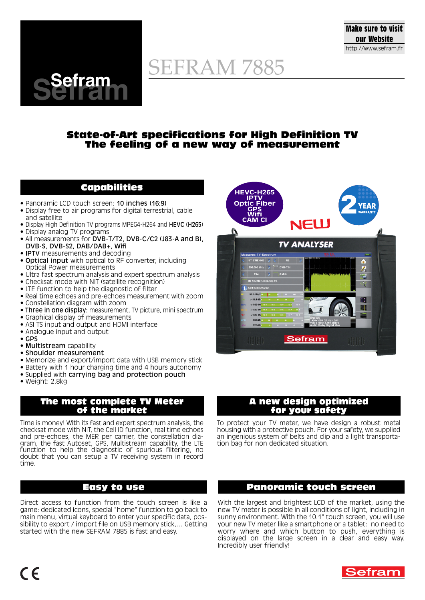

# SEFRAM 7885

### **State-of-Art specifications for High Definition TV The feeling of a new way of measurement**

# **Capabilities**

• Panoramic LCD touch screen: 10 inches (16:9)

**Sefram Sefram**

- Display free to air programs for digital terrestrial, cable and satellite
- Display High Definition TV programs MPEG4-H264 and HEVC (H265)
- Display analog TV programs
- All measurements for DVB-T/T2, DVB-C/C2 (J83-A and B), DVB-S, DVB-S2, DAB/DAB+, Wifi
- **IPTV** measurements and decoding
- Optical input with optical to RF converter, including Optical Power measurements
- Ultra fast spectrum analysis and expert spectrum analysis
- Checksat mode with NIT (satellite recognition)
- LTE function to help the diagnostic of filter
- Real time echoes and pre-echoes measurement with zoom
- Constellation diagram with zoom
- Three in one display: measurement, TV picture, mini spectrum
- Graphical display of measurements
- ASI TS input and output and HDMI interface
- Analogue input and output
- GPS
- Multistream capability
- Shoulder measurement
- Memorize and export/import data with USB memory stick
- Battery with 1 hour charging time and 4 hours autonomy
- Supplied with carrying bag and protection pouch
- Weight: 2,8kg

#### **The most complete TV Meter of the market**

Time is money! With its fast and expert spectrum analysis, the checksat mode with NIT, the Cell ID function, real time echoes and pre-echoes, the MER per carrier, the constellation diagram, the fast Autoset, GPS, Multistream capability, the LTE function to help the diagnostic of spurious filtering, no doubt that you can setup a TV receiving system in record time.

## **Easy to use**

Direct access to function from the touch screen is like a game: dedicated icons, special "home" function to go back to main menu, virtual keyboard to enter your specific data, possibility to export / import file on USB memory stick,… Getting started with the new SEFRAM 7885 is fast and easy.



#### **A new design optimized for your safety**

To protect your TV meter, we have design a robust metal housing with a protective pouch. For your safety, we supplied an ingenious system of belts and clip and a light transportation bag for non dedicated situation.

## **Panoramic touch screen**

With the largest and brightest LCD of the market, using the new TV meter is possible in all conditions of light, including in sunny environment. With the 10.1" touch screen, you will use your new TV meter like a smartphone or a tablet: no need to worry where and which button to push, everything is displayed on the large screen in a clear and easy way. Incredibly user friendly!

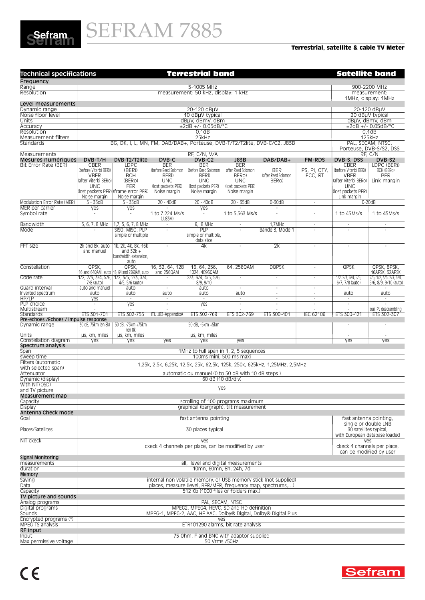

#### **Terrestrial, satellite & cable TV Meter**

| <b>Technical specifications</b>                | <b>Terrestrial band</b>                                                                            |                                                                            |                          |                                                     |                          |                                                                  | <b>Satellite band</b>    |                                                |                                     |  |
|------------------------------------------------|----------------------------------------------------------------------------------------------------|----------------------------------------------------------------------------|--------------------------|-----------------------------------------------------|--------------------------|------------------------------------------------------------------|--------------------------|------------------------------------------------|-------------------------------------|--|
| Frequency                                      |                                                                                                    |                                                                            |                          |                                                     |                          |                                                                  |                          |                                                |                                     |  |
| Range                                          | 5-1005 MHz<br>900-2200 MHz<br>measurement:                                                         |                                                                            |                          |                                                     |                          |                                                                  |                          |                                                |                                     |  |
| Resolution                                     | measurement: 50 kHz, display: 1 kHz                                                                |                                                                            |                          |                                                     |                          |                                                                  |                          |                                                | 1MHz, display: 1MHz                 |  |
| Level measurements                             |                                                                                                    |                                                                            |                          |                                                     |                          |                                                                  |                          |                                                |                                     |  |
| Dynamic range                                  | 20-120 dBuV                                                                                        |                                                                            |                          |                                                     |                          |                                                                  |                          | 20-120 dBµV                                    |                                     |  |
| Noise floor level                              |                                                                                                    |                                                                            |                          | 10 dBuV typical                                     |                          |                                                                  |                          | 20 dBµV typical                                |                                     |  |
| Units<br>Accuracy                              |                                                                                                    |                                                                            |                          | dBµV, dBmV, dBm                                     |                          |                                                                  |                          | dBµV, dBmV, dBm<br>$±2dB +/- 0.05dB/C$         |                                     |  |
| Resolution                                     | $±2dB +/- 0.05dB/C$<br>0,1dB                                                                       |                                                                            |                          |                                                     |                          |                                                                  |                          |                                                | 0,1dB                               |  |
| Measurement filters                            |                                                                                                    | 25kHz<br>125kHz                                                            |                          |                                                     |                          |                                                                  |                          |                                                |                                     |  |
| Standards                                      |                                                                                                    | BG, DK, I, L, MN, FM, DAB/DAB+, Porteuse, DVB-T/T2/T2lite, DVB-C/C2, J83B  |                          |                                                     |                          |                                                                  |                          |                                                |                                     |  |
| Measurements                                   | RF, C/N, V/A                                                                                       |                                                                            |                          |                                                     |                          |                                                                  |                          |                                                | Porteuse, DVB-S/S2, DSS<br>RF, C/N  |  |
| Mesures numériques                             | DVB-T/H                                                                                            | DVB-T2/T2lite                                                              | DVB-C                    | DVB-C2                                              | <b>J83B</b>              | DAB/DAB+                                                         | <b>FM-RDS</b>            | DVB-S, DSS                                     | DVB-S2                              |  |
| Bit Error Rate (BER)                           | CBER                                                                                               | <b>LDPC</b>                                                                | <b>BER</b>               | <b>BER</b>                                          | <b>BER</b>               |                                                                  |                          | <b>CBER</b>                                    | LDPC (BERI)                         |  |
|                                                | (before Viterbi BERi)                                                                              | (BERI)                                                                     | (before Reed Solomon     | (before Reed Solomon                                | after Reed Solomon       | <b>BER</b>                                                       | PS, PI, OTY,             | (before Viterbi BERi)                          | BCH (BERO)                          |  |
|                                                | <b>VBER</b><br>(after Viterbi BERo)                                                                | <b>BCH</b><br>(BERO)                                                       | BERI)<br><b>UNC</b>      | BERI)<br><b>UNC</b>                                 | BERO)<br><b>UNC</b>      | lafter Reed Solomon<br>BERO)                                     | ECC, RT                  | <b>VBER</b><br>(after Viterbi BERo)            | PER<br>Link margin                  |  |
|                                                | <b>UNC</b>                                                                                         | FER                                                                        | (lost packets PER)       | (lost packets PER)                                  | (lost packets PER)       |                                                                  |                          | UNC                                            |                                     |  |
|                                                |                                                                                                    | (lost packets PER) (frame error PER)                                       | Noise margin             | Noise margin                                        | Noise margin             |                                                                  |                          | (lost packets PER)                             |                                     |  |
|                                                | Noise margin                                                                                       | Noise margin                                                               |                          |                                                     |                          |                                                                  |                          | Link margin                                    |                                     |  |
| Modulation Error Rate (MER)<br>MER per carrier | $5 - 35dB$<br>yes                                                                                  | $5 - 35dB$<br>yes                                                          | 20 - 40dB<br>×.          | 20 - 40dB<br>yes                                    | 20 - 35dB                | $0 - 30dB$<br>$\overline{\phantom{a}}$                           | $\sim$                   |                                                | $0-20dB$                            |  |
| Symbol rate                                    | $\overline{\phantom{a}}$                                                                           | $\overline{\phantom{a}}$                                                   | 1 to 7.224 Ms/s          |                                                     | 1 to 5,563 Ms/s          | ×,                                                               | ä,                       | 1 to 45Ms/s                                    | 1 to 45Ms/s                         |  |
|                                                |                                                                                                    |                                                                            | (J.83A)                  |                                                     |                          |                                                                  |                          |                                                |                                     |  |
| <b>Bandwidth</b>                               | 5, 6, 7, 8 MHz                                                                                     | $1.7.5.6.7.8$ MHz                                                          | ÷.                       | 6. 8 MHz                                            | ×                        | 1.7MHz                                                           | $\overline{\phantom{a}}$ | ×                                              | ×                                   |  |
| Mode                                           |                                                                                                    | SISO, MISO, PLP<br>simple or multiple                                      | $\overline{\phantom{a}}$ | PLP<br>simple or multiple,                          | ×                        | Bande 3, Mode 1                                                  | $\sim$                   | $\sim$                                         |                                     |  |
|                                                |                                                                                                    |                                                                            |                          | data slice                                          |                          |                                                                  |                          |                                                |                                     |  |
| FFT size                                       | 2k and 8k, auto                                                                                    | 1k, 2k, 4k, 8k, 16k                                                        | $\overline{\phantom{a}}$ | 4k                                                  | $\overline{\phantom{a}}$ | $\overline{2k}$                                                  | ÷,                       |                                                |                                     |  |
|                                                | and manuel                                                                                         | and $32k +$                                                                |                          |                                                     |                          |                                                                  |                          |                                                |                                     |  |
|                                                |                                                                                                    | bandwidth extension,<br>auto                                               |                          |                                                     |                          |                                                                  |                          |                                                |                                     |  |
| Constellation                                  | QPSK,                                                                                              | QPSK,                                                                      | 16, 32, 64, 128          | 16, 64, 256,                                        | 64, 256QAM               | <b>DQPSK</b>                                                     | $\overline{\phantom{a}}$ | QPSK                                           | QPSK, 8PSK,                         |  |
|                                                |                                                                                                    | 16 and 64QAM, auto 16, 64 and 256QAM, auto                                 | and 256QAM               | 1024.40960AM                                        |                          |                                                                  |                          |                                                | 16APSK. 32APSK                      |  |
| Code rate                                      |                                                                                                    | $1/2$ , $2/3$ , $3/4$ , $5/6$ , $1/2$ , $3/5$ , $2/3$ , $3/4$ ,            |                          | 2/3, 3/4, 4/5, 5/6,                                 |                          | $\cdot$                                                          | ×,                       | $1/2$ , $2/3$ , $3/4$ , $5/6$ ,                | 2/5, 1/2, 3/5, 2/3, 3/4,            |  |
| Guard interval                                 | 7/8 (auto)<br>auto and manuel                                                                      | 4/5, 5/6 (auto)<br>auto                                                    | ×.                       | 8/9, 9/10<br>auto                                   | $\overline{\phantom{a}}$ | ×                                                                | $\overline{\phantom{a}}$ | 6/7, 7/8 (auto)<br>$\sim$                      | 5/6, 8/9, 9/10 (auto)<br>$\sim$     |  |
| Inverted spectrum                              | auto                                                                                               | auto                                                                       | auto                     | auto                                                | auto                     | $\sim$                                                           | $\epsilon$               | auto                                           | auto                                |  |
| HP/LP                                          | yes                                                                                                | $\overline{\phantom{a}}$                                                   | $\overline{\phantom{a}}$ | ×.                                                  | $\overline{\phantom{a}}$ | $\omega$                                                         | $\mathcal{L}$            | $\overline{\phantom{a}}$                       | $\overline{\phantom{a}}$            |  |
| PLP choice                                     | ۰.                                                                                                 | yes                                                                        | $\overline{\phantom{a}}$ | yes                                                 | $\overline{\phantom{a}}$ | $\overline{\phantom{a}}$                                         | ÷,                       | $\overline{\phantom{a}}$                       |                                     |  |
| Multistream<br><b>Standards</b>                | $\mathcal{L}$<br>ETS 301-701                                                                       | ×.<br>ETS 302-755                                                          | ITU J83-AppendixA        | ETS 302-769                                         | ETS 302-769              | ETS 300-401                                                      | ä,<br><b>IEC 62106</b>   | ÷.<br>ETS 300-421                              | oui, PL descrambling<br>ETS 302-307 |  |
| Pre-echoes /Echoes / Impulse response          |                                                                                                    |                                                                            |                          |                                                     |                          |                                                                  |                          |                                                |                                     |  |
| Dynamic range                                  | 30 dB, 75km (en 8k)                                                                                | 50 dB, -75km +75km                                                         |                          | 50 dB, -5km +5km                                    |                          |                                                                  |                          |                                                |                                     |  |
| Units                                          | us, km, miles                                                                                      | (en 8k)<br>us, km, miles                                                   |                          | us, km, miles                                       |                          |                                                                  |                          | $\sim$                                         | $\sim$                              |  |
| Constellation diagram                          | yes                                                                                                | yes                                                                        | yes                      | yes                                                 | yes                      |                                                                  |                          | yes                                            | yes                                 |  |
| Spectrum analysis                              |                                                                                                    |                                                                            |                          |                                                     |                          |                                                                  |                          |                                                |                                     |  |
| Span                                           |                                                                                                    |                                                                            |                          | 1MHz to full span in 1, 2, 5 sequences              |                          |                                                                  |                          |                                                |                                     |  |
| sweep time<br>Filters (automatic               | 100ms mini, 500 ms maxi                                                                            |                                                                            |                          |                                                     |                          |                                                                  |                          |                                                |                                     |  |
| with selected span)                            |                                                                                                    | 1,25k, 2,5k, 6,25k, 12,5k, 25k, 62,5k, 125k, 250k, 625kHz, 1,25MHz, 2,5MHz |                          |                                                     |                          |                                                                  |                          |                                                |                                     |  |
| Attenuator                                     |                                                                                                    | automatic ou manuel (0 to 50 dB with 10 dB steps)                          |                          |                                                     |                          |                                                                  |                          |                                                |                                     |  |
| Dynamic (display)                              | 60 dB (10 dB/div)                                                                                  |                                                                            |                          |                                                     |                          |                                                                  |                          |                                                |                                     |  |
| With NIT(OSD)                                  |                                                                                                    |                                                                            |                          | yes                                                 |                          |                                                                  |                          |                                                |                                     |  |
| and TV picture<br>Measurement map              |                                                                                                    |                                                                            |                          |                                                     |                          |                                                                  |                          |                                                |                                     |  |
| Capacity                                       |                                                                                                    |                                                                            |                          | scrolling of 100 programs maximum                   |                          |                                                                  |                          |                                                |                                     |  |
| Display                                        |                                                                                                    |                                                                            |                          | graphical (bargraph), tilt measurement              |                          |                                                                  |                          |                                                |                                     |  |
| Antenna Check mode                             |                                                                                                    |                                                                            |                          |                                                     |                          |                                                                  |                          |                                                |                                     |  |
| Goal                                           |                                                                                                    |                                                                            |                          | fast antenna pointing                               |                          |                                                                  |                          | fast antenna pointing,<br>single or double LNB |                                     |  |
| Places/Satellites                              |                                                                                                    |                                                                            |                          | 30 places typical                                   |                          |                                                                  |                          | 30 satellites typical,                         |                                     |  |
|                                                |                                                                                                    |                                                                            |                          |                                                     |                          |                                                                  |                          |                                                | with European database loaded       |  |
| NIT ckeck                                      |                                                                                                    |                                                                            |                          | yes                                                 |                          |                                                                  |                          | yes                                            |                                     |  |
|                                                |                                                                                                    |                                                                            |                          | ckeck 4 channels per place, can be modified by user |                          |                                                                  |                          | ckeck 4 channels per place,                    |                                     |  |
|                                                |                                                                                                    |                                                                            |                          |                                                     |                          |                                                                  |                          | can be modified by user                        |                                     |  |
| Signal Monitoring<br>measurements              |                                                                                                    |                                                                            |                          | all, level and digital measurements                 |                          |                                                                  |                          |                                                |                                     |  |
| duration                                       |                                                                                                    |                                                                            |                          | 10mn, 60mn, 8h, 24h, 7d                             |                          |                                                                  |                          |                                                |                                     |  |
| Memory                                         |                                                                                                    |                                                                            |                          |                                                     |                          |                                                                  |                          |                                                |                                     |  |
| Saving                                         |                                                                                                    |                                                                            |                          |                                                     |                          | internal non volatile memory, or USB memory stick (not supplied) |                          |                                                |                                     |  |
| Data                                           | places, measure (level, BER/MER, frequency map, spectrums,)<br>512 Kb (1000 files or folders max.) |                                                                            |                          |                                                     |                          |                                                                  |                          |                                                |                                     |  |
| Capacity<br>TV picture and sounds              |                                                                                                    |                                                                            |                          |                                                     |                          |                                                                  |                          |                                                |                                     |  |
| Analog programs                                |                                                                                                    |                                                                            |                          | PAL, SECAM, NTSC                                    |                          |                                                                  |                          |                                                |                                     |  |
| Digital programs                               |                                                                                                    |                                                                            |                          | MPEG2, MPEG4, HEVC, SD and HD definition            |                          |                                                                  |                          |                                                |                                     |  |
| Sounds                                         |                                                                                                    |                                                                            |                          |                                                     |                          | MPEG-1, MPEG-2, AAC, HE AAC, Dolby® Digital, Dolby® Digital Plus |                          |                                                |                                     |  |
| Encrypted programs (*)                         |                                                                                                    | yes                                                                        |                          |                                                     |                          |                                                                  |                          |                                                |                                     |  |
| MPEG TS analysis                               |                                                                                                    |                                                                            |                          | ETR101290 alarms, bit rate analysis                 |                          |                                                                  |                          |                                                |                                     |  |
| RF input<br>Input                              |                                                                                                    |                                                                            |                          | 75 Ohm, F and BNC with adaptor supplied             |                          |                                                                  |                          |                                                |                                     |  |
| Max permissive voltage                         |                                                                                                    |                                                                            |                          | 50 Vrms / 50Hz                                      |                          |                                                                  |                          |                                                |                                     |  |